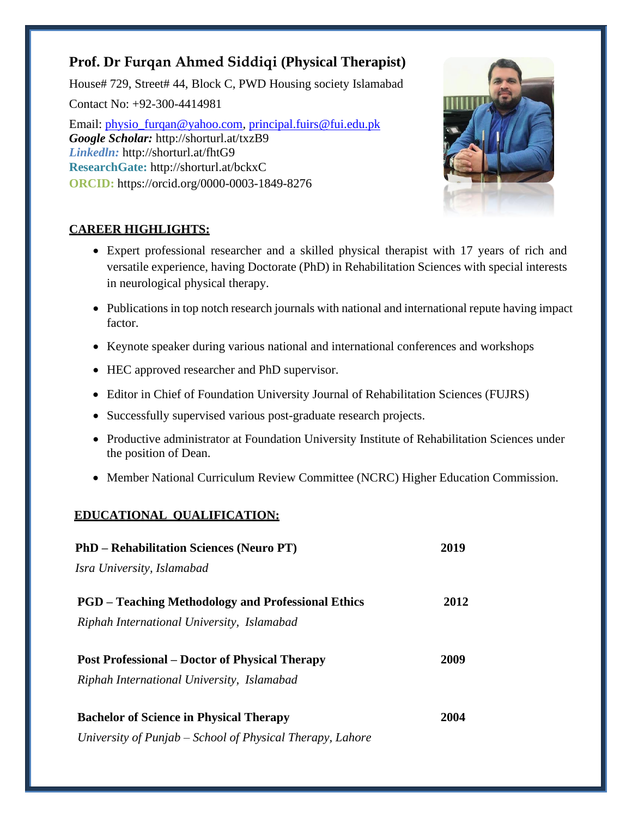# **Prof. Dr Furqan Ahmed Siddiqi (Physical Therapist)**

House# 729, Street# 44, Block C, PWD Housing society Islamabad Contact No: +92-300-4414981 Email: [physio\\_furqan@yahoo.com,](mailto:physio_furqan@yahoo.com) [principal.fuirs@fui.edu.pk](mailto:principal.fuirs@fui.edu.pk)

*Google Scholar:* <http://shorturl.at/txzB9> *Linkedln:* <http://shorturl.at/fhtG9> **ResearchGate:** <http://shorturl.at/bckxC> **ORCID:** <https://orcid.org/0000-0003-1849-8276>



# **CAREER HIGHLIGHTS:**

- Expert professional researcher and a skilled physical therapist with 17 years of rich and versatile experience, having Doctorate (PhD) in Rehabilitation Sciences with special interests in neurological physical therapy.
- Publications in top notch research journals with national and international repute having impact factor.
- Keynote speaker during various national and international conferences and workshops
- HEC approved researcher and PhD supervisor.
- Editor in Chief of Foundation University Journal of Rehabilitation Sciences (FUJRS)
- Successfully supervised various post-graduate research projects.
- Productive administrator at Foundation University Institute of Rehabilitation Sciences under the position of Dean.
- Member National Curriculum Review Committee (NCRC) Higher Education Commission.

# **EDUCATIONAL QUALIFICATION:**

| <b>PhD</b> – Rehabilitation Sciences (Neuro PT)           | 2019 |
|-----------------------------------------------------------|------|
| Isra University, Islamabad                                |      |
| <b>PGD</b> – Teaching Methodology and Professional Ethics | 2012 |
| Riphah International University, Islamabad                |      |
| <b>Post Professional – Doctor of Physical Therapy</b>     | 2009 |
| Riphah International University, Islamabad                |      |
| <b>Bachelor of Science in Physical Therapy</b>            | 2004 |
| University of Punjab – School of Physical Therapy, Lahore |      |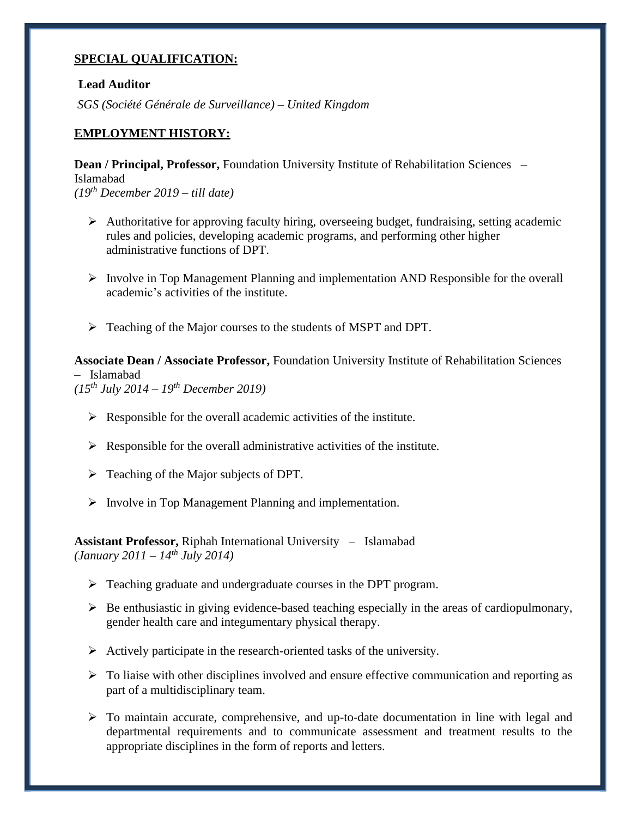### **SPECIAL QUALIFICATION:**

### **Lead Auditor**

*SGS (Société Générale de Surveillance) – United Kingdom*

### **EMPLOYMENT HISTORY:**

**Dean / Principal, Professor,** Foundation University Institute of Rehabilitation Sciences – Islamabad *(19th December 2019 – till date)*

- ➢ Authoritative for approving faculty hiring, overseeing budget, fundraising, setting academic rules and policies, developing academic programs, and performing other higher administrative functions of DPT.
- $\triangleright$  Involve in Top Management Planning and implementation AND Responsible for the overall academic's activities of the institute.
- ➢ Teaching of the Major courses to the students of MSPT and DPT.

**Associate Dean / Associate Professor,** Foundation University Institute of Rehabilitation Sciences – Islamabad *(15th July 2014 – 19th December 2019)*

- $\triangleright$  Responsible for the overall academic activities of the institute.
- $\triangleright$  Responsible for the overall administrative activities of the institute.
- ➢ Teaching of the Major subjects of DPT.
- ➢ Involve in Top Management Planning and implementation.

**Assistant Professor,** Riphah International University – Islamabad *(January 2011 – 14th July 2014)*

- ➢ Teaching graduate and undergraduate courses in the DPT program.
- $\triangleright$  Be enthusiastic in giving evidence-based teaching especially in the areas of cardiopulmonary, gender health care and integumentary physical therapy.
- ➢ Actively participate in the research-oriented tasks of the university.
- $\triangleright$  To liaise with other disciplines involved and ensure effective communication and reporting as part of a multidisciplinary team.
- $\triangleright$  To maintain accurate, comprehensive, and up-to-date documentation in line with legal and departmental requirements and to communicate assessment and treatment results to the appropriate disciplines in the form of reports and letters.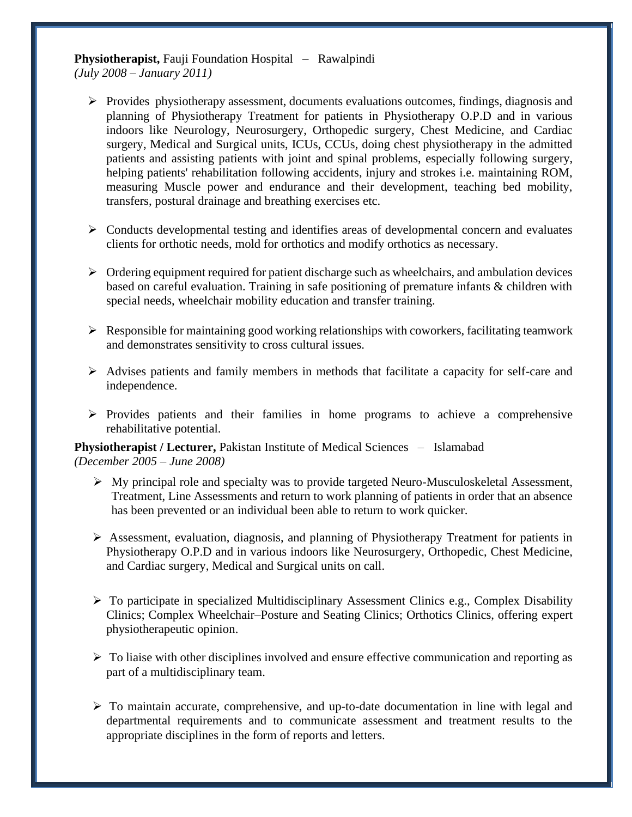**Physiotherapist,** Fauji Foundation Hospital – Rawalpindi *(July 2008 – January 2011)*

- ➢ Provides physiotherapy assessment, documents evaluations outcomes, findings, diagnosis and planning of Physiotherapy Treatment for patients in Physiotherapy O.P.D and in various indoors like Neurology, Neurosurgery, Orthopedic surgery, Chest Medicine, and Cardiac surgery, Medical and Surgical units, ICUs, CCUs, doing chest physiotherapy in the admitted patients and assisting patients with joint and spinal problems, especially following surgery, helping patients' rehabilitation following accidents, injury and strokes i.e. maintaining ROM, measuring Muscle power and endurance and their development, teaching bed mobility, transfers, postural drainage and breathing exercises etc.
- ➢ Conducts developmental testing and identifies areas of developmental concern and evaluates clients for orthotic needs, mold for orthotics and modify orthotics as necessary.
- $\triangleright$  Ordering equipment required for patient discharge such as wheelchairs, and ambulation devices based on careful evaluation. Training in safe positioning of premature infants & children with special needs, wheelchair mobility education and transfer training.
- $\triangleright$  Responsible for maintaining good working relationships with coworkers, facilitating teamwork and demonstrates sensitivity to cross cultural issues.
- $\triangleright$  Advises patients and family members in methods that facilitate a capacity for self-care and independence.
- ➢ Provides patients and their families in home programs to achieve a comprehensive rehabilitative potential.

**Physiotherapist / Lecturer, Pakistan Institute of Medical Sciences – Islamabad** *(December 2005 – June 2008)*

- ➢ My principal role and specialty was to provide targeted Neuro-Musculoskeletal Assessment, Treatment, Line Assessments and return to work planning of patients in order that an absence has been prevented or an individual been able to return to work quicker.
- ➢ Assessment, evaluation, diagnosis, and planning of Physiotherapy Treatment for patients in Physiotherapy O.P.D and in various indoors like Neurosurgery, Orthopedic, Chest Medicine, and Cardiac surgery, Medical and Surgical units on call.
- $\triangleright$  To participate in specialized Multidisciplinary Assessment Clinics e.g., Complex Disability Clinics; Complex Wheelchair–Posture and Seating Clinics; Orthotics Clinics, offering expert physiotherapeutic opinion.
- $\triangleright$  To liaise with other disciplines involved and ensure effective communication and reporting as part of a multidisciplinary team.
- $\triangleright$  To maintain accurate, comprehensive, and up-to-date documentation in line with legal and departmental requirements and to communicate assessment and treatment results to the appropriate disciplines in the form of reports and letters.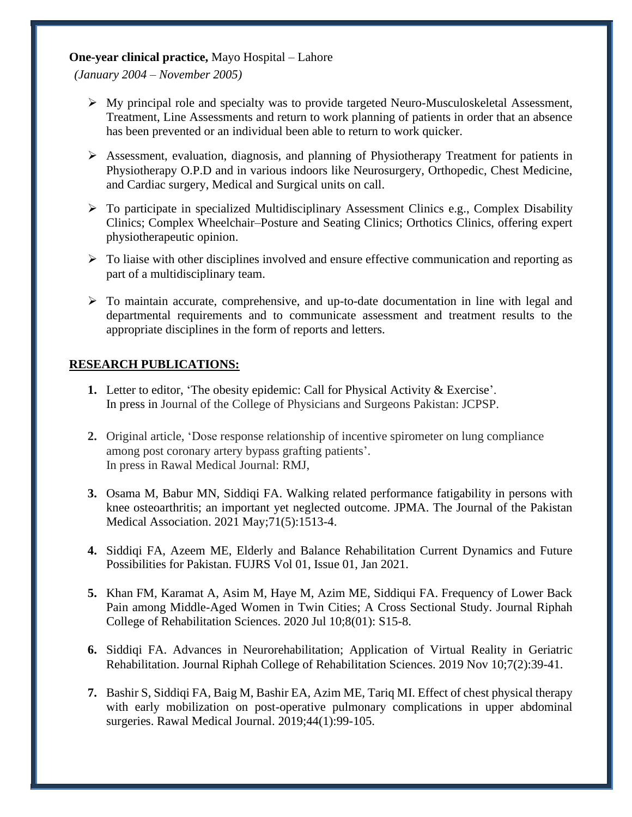### **One-year clinical practice,** Mayo Hospital – Lahore

*(January 2004 – November 2005)*

- $\triangleright$  My principal role and specialty was to provide targeted Neuro-Musculoskeletal Assessment, Treatment, Line Assessments and return to work planning of patients in order that an absence has been prevented or an individual been able to return to work quicker.
- ➢ Assessment, evaluation, diagnosis, and planning of Physiotherapy Treatment for patients in Physiotherapy O.P.D and in various indoors like Neurosurgery, Orthopedic, Chest Medicine, and Cardiac surgery, Medical and Surgical units on call.
- $\triangleright$  To participate in specialized Multidisciplinary Assessment Clinics e.g., Complex Disability Clinics; Complex Wheelchair–Posture and Seating Clinics; Orthotics Clinics, offering expert physiotherapeutic opinion.
- $\triangleright$  To liaise with other disciplines involved and ensure effective communication and reporting as part of a multidisciplinary team.
- ➢ To maintain accurate, comprehensive, and up-to-date documentation in line with legal and departmental requirements and to communicate assessment and treatment results to the appropriate disciplines in the form of reports and letters.

# **RESEARCH PUBLICATIONS:**

- **1.** Letter to editor, 'The obesity epidemic: Call for Physical Activity & Exercise'. In press in Journal of the College of Physicians and Surgeons Pakistan: JCPSP.
- **2.** Original article, 'Dose response relationship of incentive spirometer on lung compliance among post coronary artery bypass grafting patients'. In press in Rawal Medical Journal: RMJ,
- **3.** Osama M, Babur MN, Siddiqi FA. Walking related performance fatigability in persons with knee osteoarthritis; an important yet neglected outcome. JPMA. The Journal of the Pakistan Medical Association. 2021 May;71(5):1513-4.
- **4.** Siddiqi FA, Azeem ME, Elderly and Balance Rehabilitation Current Dynamics and Future Possibilities for Pakistan. FUJRS Vol 01, Issue 01, Jan 2021.
- **5.** Khan FM, Karamat A, Asim M, Haye M, Azim ME, Siddiqui FA. Frequency of Lower Back Pain among Middle-Aged Women in Twin Cities; A Cross Sectional Study. Journal Riphah College of Rehabilitation Sciences. 2020 Jul 10;8(01): S15-8.
- **6.** Siddiqi FA. Advances in Neurorehabilitation; Application of Virtual Reality in Geriatric Rehabilitation. Journal Riphah College of Rehabilitation Sciences. 2019 Nov 10;7(2):39-41.
- **7.** Bashir S, Siddiqi FA, Baig M, Bashir EA, Azim ME, Tariq MI. Effect of chest physical therapy with early mobilization on post-operative pulmonary complications in upper abdominal surgeries. Rawal Medical Journal. 2019;44(1):99-105.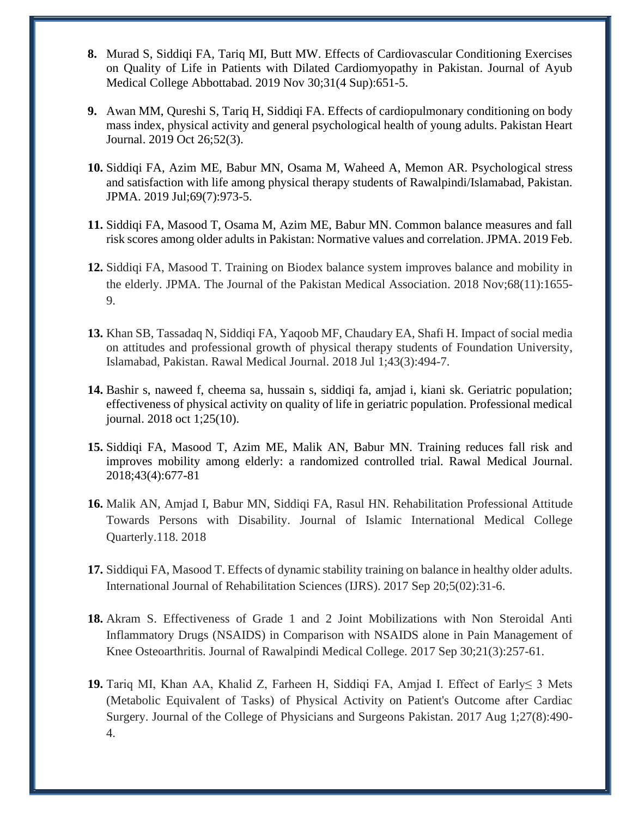- **8.** Murad S, Siddiqi FA, Tariq MI, Butt MW. Effects of Cardiovascular Conditioning Exercises on Quality of Life in Patients with Dilated Cardiomyopathy in Pakistan. Journal of Ayub Medical College Abbottabad. 2019 Nov 30;31(4 Sup):651-5.
- **9.** Awan MM, Qureshi S, Tariq H, Siddiqi FA. Effects of cardiopulmonary conditioning on body mass index, physical activity and general psychological health of young adults. Pakistan Heart Journal. 2019 Oct 26;52(3).
- **10.** Siddiqi FA, Azim ME, Babur MN, Osama M, Waheed A, Memon AR. Psychological stress and satisfaction with life among physical therapy students of Rawalpindi/Islamabad, Pakistan. JPMA. 2019 Jul;69(7):973-5.
- **11.** Siddiqi FA, Masood T, Osama M, Azim ME, Babur MN. Common balance measures and fall risk scores among older adults in Pakistan: Normative values and correlation. JPMA. 2019 Feb.
- **12.** Siddiqi FA, Masood T. Training on Biodex balance system improves balance and mobility in the elderly. JPMA. The Journal of the Pakistan Medical Association. 2018 Nov;68(11):1655- 9.
- **13.** Khan SB, Tassadaq N, Siddiqi FA, Yaqoob MF, Chaudary EA, Shafi H. Impact of social media on attitudes and professional growth of physical therapy students of Foundation University, Islamabad, Pakistan. Rawal Medical Journal. 2018 Jul 1;43(3):494-7.
- **14.** Bashir s, naweed f, cheema sa, hussain s, siddiqi fa, amjad i, kiani sk. Geriatric population; effectiveness of physical activity on quality of life in geriatric population. Professional medical journal. 2018 oct 1;25(10).
- **15.** Siddiqi FA, Masood T, Azim ME, Malik AN, Babur MN. Training reduces fall risk and improves mobility among elderly: a randomized controlled trial. Rawal Medical Journal. 2018;43(4):677-81
- **16.** Malik AN, Amjad I, Babur MN, Siddiqi FA, Rasul HN. Rehabilitation Professional Attitude Towards Persons with Disability. Journal of Islamic International Medical College Quarterly.118. 2018
- **17.** Siddiqui FA, Masood T. Effects of dynamic stability training on balance in healthy older adults. International Journal of Rehabilitation Sciences (IJRS). 2017 Sep 20;5(02):31-6.
- **18.** Akram S. Effectiveness of Grade 1 and 2 Joint Mobilizations with Non Steroidal Anti Inflammatory Drugs (NSAIDS) in Comparison with NSAIDS alone in Pain Management of Knee Osteoarthritis. Journal of Rawalpindi Medical College. 2017 Sep 30;21(3):257-61.
- **19.** Tariq MI, Khan AA, Khalid Z, Farheen H, Siddiqi FA, Amjad I. Effect of Early≤ 3 Mets (Metabolic Equivalent of Tasks) of Physical Activity on Patient's Outcome after Cardiac Surgery. Journal of the College of Physicians and Surgeons Pakistan. 2017 Aug 1;27(8):490- 4.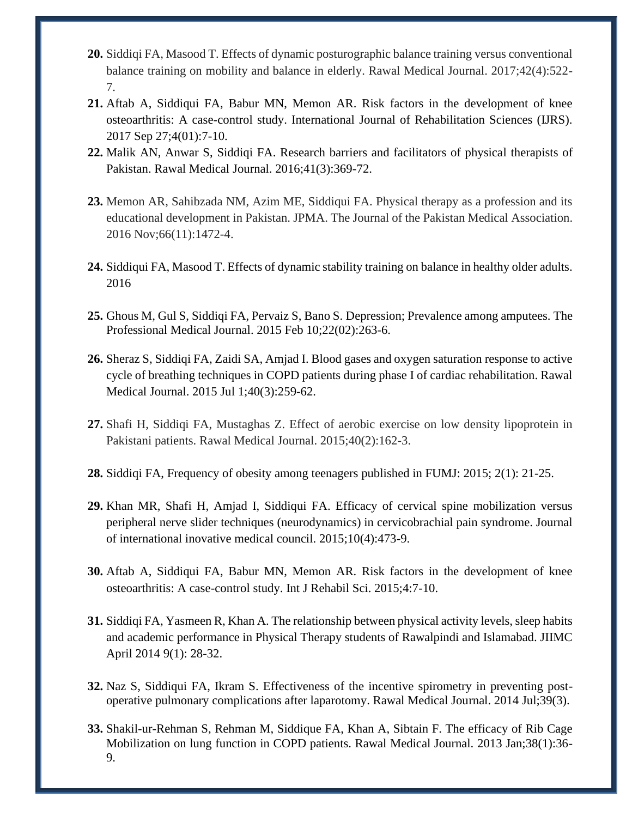- **20.** Siddiqi FA, Masood T. Effects of dynamic posturographic balance training versus conventional balance training on mobility and balance in elderly. Rawal Medical Journal. 2017;42(4):522- 7.
- **21.** Aftab A, Siddiqui FA, Babur MN, Memon AR. Risk factors in the development of knee osteoarthritis: A case-control study. International Journal of Rehabilitation Sciences (IJRS). 2017 Sep 27;4(01):7-10.
- **22.** Malik AN, Anwar S, Siddiqi FA. Research barriers and facilitators of physical therapists of Pakistan. Rawal Medical Journal. 2016;41(3):369-72.
- **23.** Memon AR, Sahibzada NM, Azim ME, Siddiqui FA. Physical therapy as a profession and its educational development in Pakistan. JPMA. The Journal of the Pakistan Medical Association. 2016 Nov;66(11):1472-4.
- **24.** Siddiqui FA, Masood T. Effects of dynamic stability training on balance in healthy older adults. 2016
- **25.** Ghous M, Gul S, Siddiqi FA, Pervaiz S, Bano S. Depression; Prevalence among amputees. The Professional Medical Journal. 2015 Feb 10;22(02):263-6.
- **26.** Sheraz S, Siddiqi FA, Zaidi SA, Amjad I. Blood gases and oxygen saturation response to active cycle of breathing techniques in COPD patients during phase I of cardiac rehabilitation. Rawal Medical Journal. 2015 Jul 1;40(3):259-62.
- **27.** Shafi H, Siddiqi FA, Mustaghas Z. Effect of aerobic exercise on low density lipoprotein in Pakistani patients. Rawal Medical Journal. 2015;40(2):162-3.
- **28.** Siddiqi FA, Frequency of obesity among teenagers published in FUMJ: 2015; 2(1): 21-25.
- **29.** Khan MR, Shafi H, Amjad I, Siddiqui FA. Efficacy of cervical spine mobilization versus peripheral nerve slider techniques (neurodynamics) in cervicobrachial pain syndrome. Journal of international inovative medical council. 2015;10(4):473-9.
- **30.** Aftab A, Siddiqui FA, Babur MN, Memon AR. Risk factors in the development of knee osteoarthritis: A case-control study. Int J Rehabil Sci. 2015;4:7-10.
- **31.** Siddiqi FA, Yasmeen R, Khan A. The relationship between physical activity levels, sleep habits and academic performance in Physical Therapy students of Rawalpindi and Islamabad. JIIMC April 2014 9(1): 28-32.
- **32.** Naz S, Siddiqui FA, Ikram S. Effectiveness of the incentive spirometry in preventing postoperative pulmonary complications after laparotomy. Rawal Medical Journal. 2014 Jul;39(3).
- **33.** Shakil-ur-Rehman S, Rehman M, Siddique FA, Khan A, Sibtain F. The efficacy of Rib Cage Mobilization on lung function in COPD patients. Rawal Medical Journal. 2013 Jan;38(1):36- 9.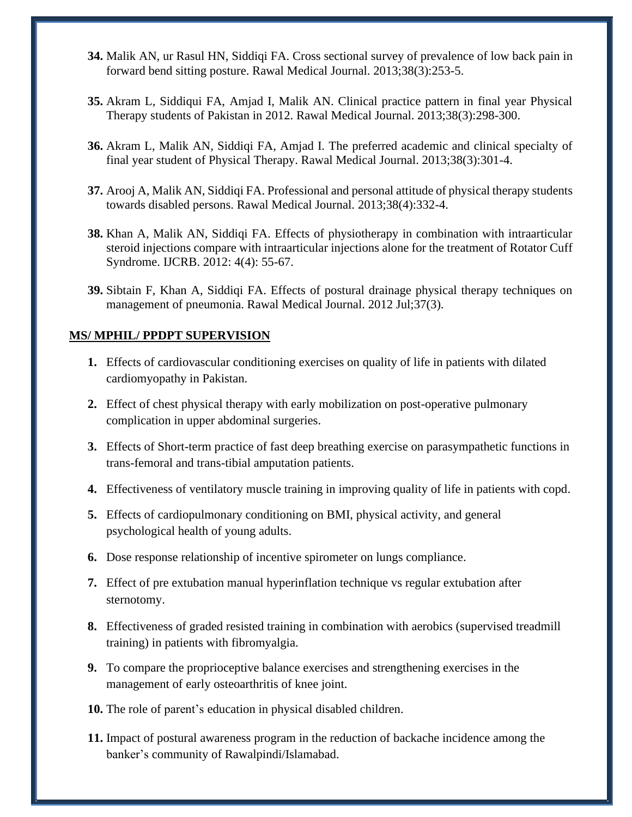- **34.** Malik AN, ur Rasul HN, Siddiqi FA. Cross sectional survey of prevalence of low back pain in forward bend sitting posture. Rawal Medical Journal. 2013;38(3):253-5.
- **35.** Akram L, Siddiqui FA, Amjad I, Malik AN. Clinical practice pattern in final year Physical Therapy students of Pakistan in 2012. Rawal Medical Journal. 2013;38(3):298-300.
- **36.** Akram L, Malik AN, Siddiqi FA, Amjad I. The preferred academic and clinical specialty of final year student of Physical Therapy. Rawal Medical Journal. 2013;38(3):301-4.
- **37.** Arooj A, Malik AN, Siddiqi FA. Professional and personal attitude of physical therapy students towards disabled persons. Rawal Medical Journal. 2013;38(4):332-4.
- **38.** Khan A, Malik AN, Siddiqi FA. Effects of physiotherapy in combination with intraarticular steroid injections compare with intraarticular injections alone for the treatment of Rotator Cuff Syndrome. IJCRB. 2012: 4(4): 55-67.
- **39.** Sibtain F, Khan A, Siddiqi FA. Effects of postural drainage physical therapy techniques on management of pneumonia. Rawal Medical Journal. 2012 Jul;37(3).

### **MS/ MPHIL/ PPDPT SUPERVISION**

- **1.** Effects of cardiovascular conditioning exercises on quality of life in patients with dilated cardiomyopathy in Pakistan.
- **2.** Effect of chest physical therapy with early mobilization on post-operative pulmonary complication in upper abdominal surgeries.
- **3.** Effects of Short-term practice of fast deep breathing exercise on parasympathetic functions in trans-femoral and trans-tibial amputation patients.
- **4.** Effectiveness of ventilatory muscle training in improving quality of life in patients with copd.
- **5.** Effects of cardiopulmonary conditioning on BMI, physical activity, and general psychological health of young adults.
- **6.** Dose response relationship of incentive spirometer on lungs compliance.
- **7.** Effect of pre extubation manual hyperinflation technique vs regular extubation after sternotomy.
- **8.** Effectiveness of graded resisted training in combination with aerobics (supervised treadmill training) in patients with fibromyalgia.
- **9.** To compare the proprioceptive balance exercises and strengthening exercises in the management of early osteoarthritis of knee joint.
- **10.** The role of parent's education in physical disabled children.
- **11.** Impact of postural awareness program in the reduction of backache incidence among the banker's community of Rawalpindi/Islamabad.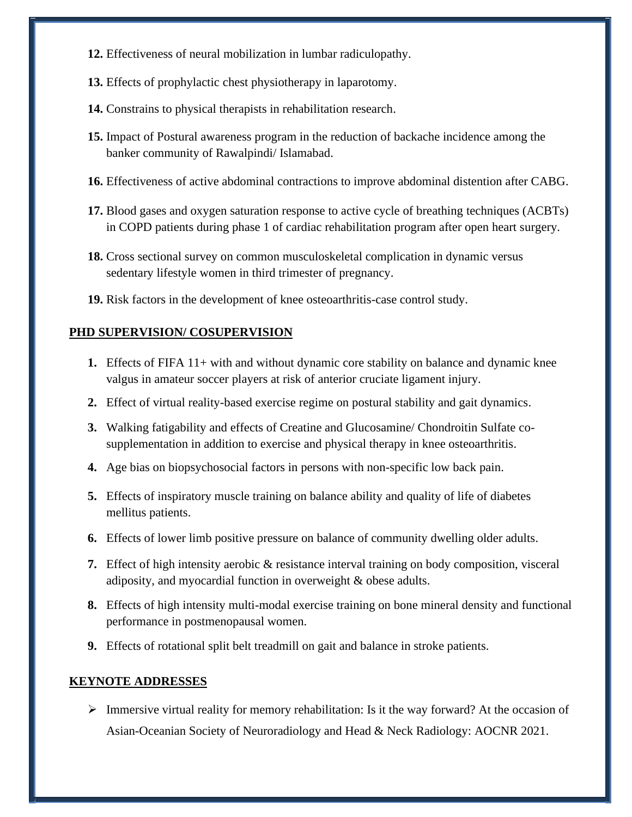- **12.** Effectiveness of neural mobilization in lumbar radiculopathy.
- **13.** Effects of prophylactic chest physiotherapy in laparotomy.
- **14.** Constrains to physical therapists in rehabilitation research.
- **15.** Impact of Postural awareness program in the reduction of backache incidence among the banker community of Rawalpindi/ Islamabad.
- **16.** Effectiveness of active abdominal contractions to improve abdominal distention after CABG.
- **17.** Blood gases and oxygen saturation response to active cycle of breathing techniques (ACBTs) in COPD patients during phase 1 of cardiac rehabilitation program after open heart surgery.
- **18.** Cross sectional survey on common musculoskeletal complication in dynamic versus sedentary lifestyle women in third trimester of pregnancy.
- **19.** Risk factors in the development of knee osteoarthritis-case control study.

#### **PHD SUPERVISION/ COSUPERVISION**

- **1.** Effects of FIFA 11+ with and without dynamic core stability on balance and dynamic knee valgus in amateur soccer players at risk of anterior cruciate ligament injury.
- **2.** Effect of virtual reality-based exercise regime on postural stability and gait dynamics.
- **3.** Walking fatigability and effects of Creatine and Glucosamine/ Chondroitin Sulfate cosupplementation in addition to exercise and physical therapy in knee osteoarthritis.
- **4.** Age bias on biopsychosocial factors in persons with non-specific low back pain.
- **5.** Effects of inspiratory muscle training on balance ability and quality of life of diabetes mellitus patients.
- **6.** Effects of lower limb positive pressure on balance of community dwelling older adults.
- **7.** Effect of high intensity aerobic & resistance interval training on body composition, visceral adiposity, and myocardial function in overweight & obese adults.
- **8.** Effects of high intensity multi-modal exercise training on bone mineral density and functional performance in postmenopausal women.
- **9.** Effects of rotational split belt treadmill on gait and balance in stroke patients.

#### **KEYNOTE ADDRESSES**

➢ Immersive virtual reality for memory rehabilitation: Is it the way forward? At the occasion of Asian-Oceanian Society of Neuroradiology and Head & Neck Radiology: AOCNR 2021.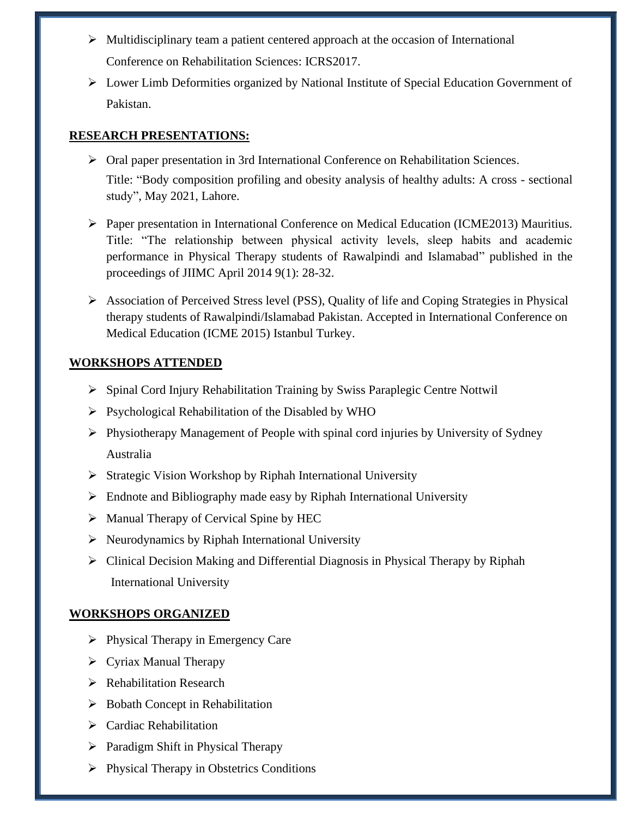- ➢ Multidisciplinary team a patient centered approach at the occasion of International Conference on Rehabilitation Sciences: ICRS2017.
- ➢ Lower Limb Deformities organized by National Institute of Special Education Government of Pakistan.

### **RESEARCH PRESENTATIONS:**

- $\triangleright$  Oral paper presentation in 3rd International Conference on Rehabilitation Sciences. Title: "Body composition profiling and obesity analysis of healthy adults: A cross - sectional study", May 2021, Lahore.
- ➢ Paper presentation in International Conference on Medical Education (ICME2013) Mauritius. Title: "The relationship between physical activity levels, sleep habits and academic performance in Physical Therapy students of Rawalpindi and Islamabad" published in the proceedings of JIIMC April 2014 9(1): 28-32.
- ➢ Association of Perceived Stress level (PSS), Quality of life and Coping Strategies in Physical therapy students of Rawalpindi/Islamabad Pakistan. Accepted in International Conference on Medical Education (ICME 2015) Istanbul Turkey.

# **WORKSHOPS ATTENDED**

- ➢ Spinal Cord Injury Rehabilitation Training by Swiss Paraplegic Centre Nottwil
- ➢ Psychological Rehabilitation of the Disabled by WHO
- $\triangleright$  Physiotherapy Management of People with spinal cord injuries by University of Sydney Australia
- ➢ Strategic Vision Workshop by Riphah International University
- ➢ Endnote and Bibliography made easy by Riphah International University
- ➢ Manual Therapy of Cervical Spine by HEC
- $\triangleright$  Neurodynamics by Riphah International University
- ➢ Clinical Decision Making and Differential Diagnosis in Physical Therapy by Riphah International University

# **WORKSHOPS ORGANIZED**

- ➢ Physical Therapy in Emergency Care
- ➢ Cyriax Manual Therapy
- ➢ Rehabilitation Research
- ➢ Bobath Concept in Rehabilitation
- ➢ Cardiac Rehabilitation
- ➢ Paradigm Shift in Physical Therapy
- ➢ Physical Therapy in Obstetrics Conditions